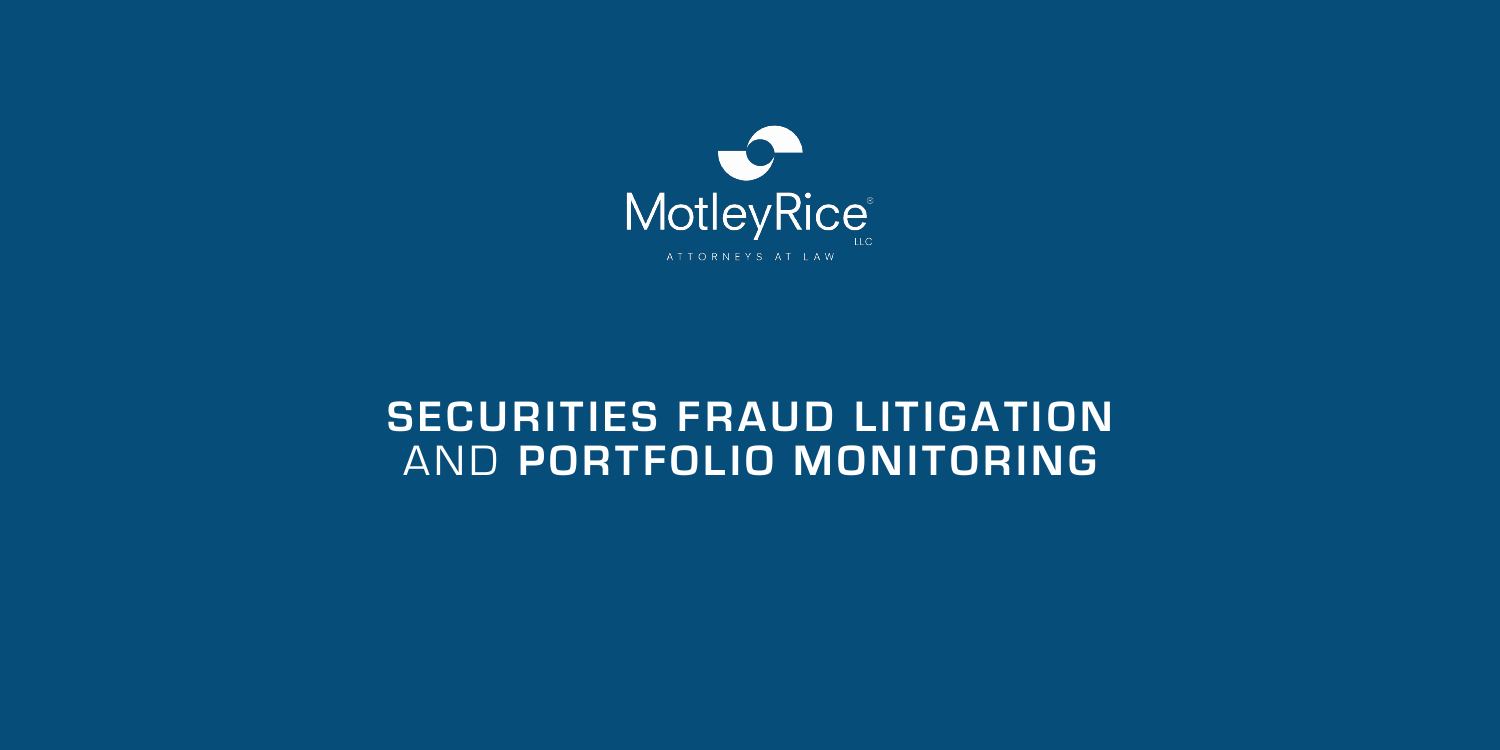

## **SECURITIES FRAUD LITIGATION** AND **PORTFOLIO MONITORING**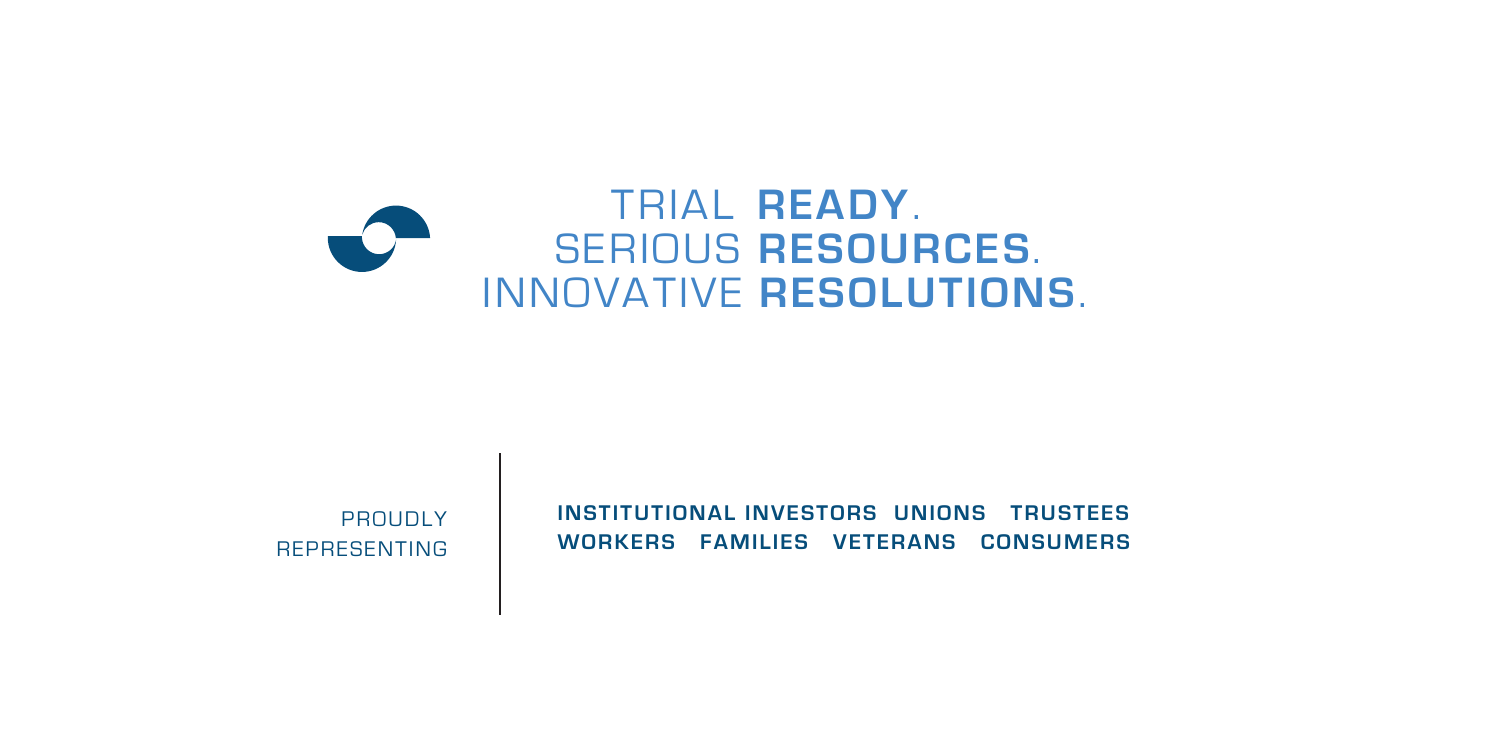# TRIAL **READY**. SERIOUS **RESOURCES**. INNOVATIVE **RESOLUTIONS**.

**INSTITUTIONAL INVESTORS UNIONS TRUSTEES WORKERS FAMILIES VETERANS CONSUMERS** 

PROUDLY REPRESENTING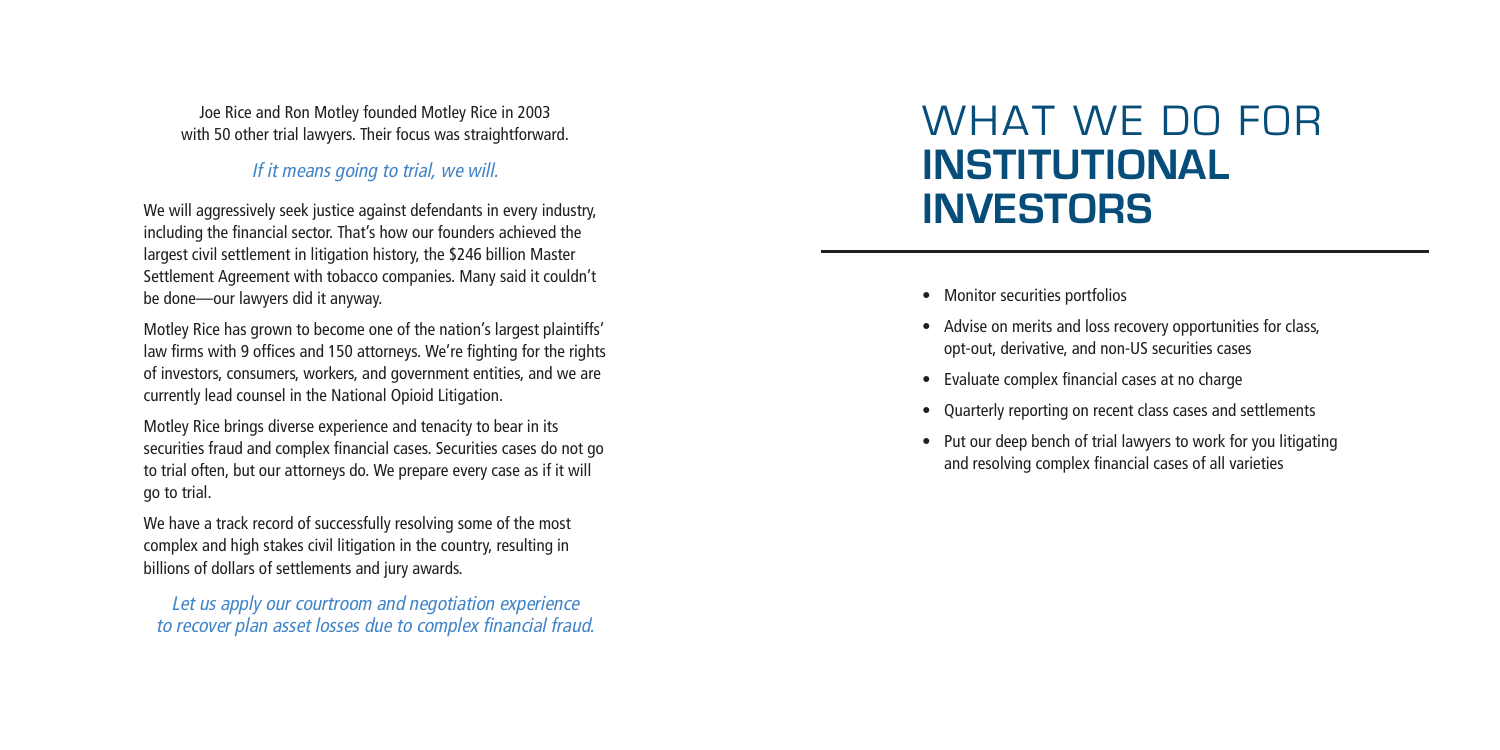• Advise on merits and loss recovery opportunities for class,

- Monitor securities portfolios
- opt-out, derivative, and non-US securities cases
- Evaluate complex financial cases at no charge
- 
- 

• Quarterly reporting on recent class cases and settlements

• Put our deep bench of trial lawyers to work for you litigating and resolving complex financial cases of all varieties

# WHAT WE DO FOR **INSTITUTIONAL INVESTORS**

Joe Rice and Ron Motley founded Motley Rice in 2003 with 50 other trial lawyers. Their focus was straightforward.

#### *If it means going to trial, we will.*

We will aggressively seek justice against defendants in every industry, including the financial sector. That's how our founders achieved the largest civil settlement in litigation history, the \$246 billion Master Settlement Agreement with tobacco companies. Many said it couldn't be done—our lawyers did it anyway.

Motley Rice has grown to become one of the nation's largest plaintiffs' law firms with 9 offices and 150 attorneys. We're fighting for the rights of investors, consumers, workers, and government entities, and we are currently lead counsel in the National Opioid Litigation.

Motley Rice brings diverse experience and tenacity to bear in its securities fraud and complex financial cases. Securities cases do not go to trial often, but our attorneys do. We prepare every case as if it will go to trial.

We have a track record of successfully resolving some of the most complex and high stakes civil litigation in the country, resulting in billions of dollars of settlements and jury awards.

*Let us apply our courtroom and negotiation experience to recover plan asset losses due to complex financial fraud.*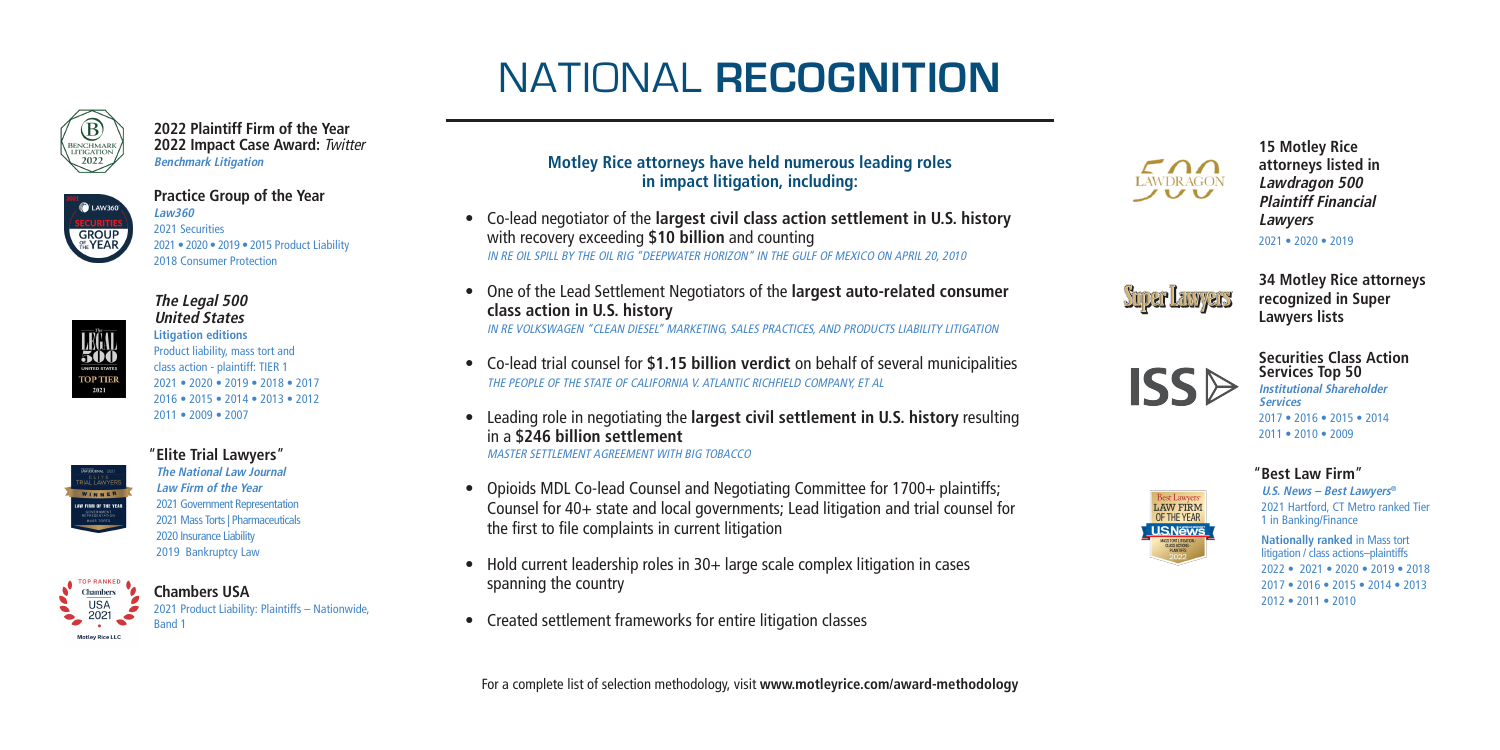#### **Motley Rice attorneys have held numerous leading roles in impact litigation, including:**

- Co-lead negotiator of the **largest civil class action settlement in U.S. history**  with recovery exceeding **\$10 billion** and counting *IN RE OIL SPILL BY THE OIL RIG "DEEPWATER HORIZON" IN THE GULF OF MEXICO ON APRIL 20, 2010*
- One of the Lead Settlement Negotiators of the **largest auto-related consumer class action in U.S. history** *IN RE VOLKSWAGEN "CLEAN DIESEL" MARKETING, SALES PRACTICES, AND PRODUCTS LIABILITY LITIGATION*
- Co-lead trial counsel for **\$1.15 billion verdict** on behalf of several municipalities *THE PEOPLE OF THE STATE OF CALIFORNIA V. ATLANTIC RICHFIELD COMPANY, ET AL*
- Leading role in negotiating the **largest civil settlement in U.S. history** resulting in a **\$246 billion settlement** *MASTER SETTLEMENT AGREEMENT WITH BIG TOBACCO*
- Opioids MDL Co-lead Counsel and Negotiating Committee for 1700+ plaintiffs; Counsel for 40+ state and local governments; Lead litigation and trial counsel for the first to file complaints in current litigation
- Hold current leadership roles in 30+ large scale complex litigation in cases spanning the country
- Created settlement frameworks for entire litigation classes

# NATIONAL **RECOGNITION**











**15 Motley Rice attorneys listed in**  *Lawdragon 500 Plaintiff Financial Lawyers*  2021 • 2020 • 2019

**34 Motley Rice attorneys recognized in Super Lawyers lists**

#### **Securities Class Action Services Top 50** *Institutional Shareholder*

*Services* 2017 • 2016 • 2015 • 2014 2011 • 2010 • 2009

#### "**Best Law Firm** "

*U.S. News – Best Lawyers®* 2021 Hartford, CT Metro ranked Tier 1 in Banking/Finance

**Nationally ranked** in Mass tort litigation / class actions–plaintiffs 2022 • 2021 • 2020 • 2019 • 2018 2017 • 2016 • 2015 • 2014 • 2013 2012 • 2011 • 2010

**2022 Plaintiff Firm of the Year 2022 Impact Case Award:** *Twitter Benchmark Litigation*



**Practice Group of the Year** *Law360* 2021 Securities 2021 • 2020 • 2019 • 2015 Product Liability 2018 Consumer Protection



#### *The Legal 500 United States*

**Litigation editions** Product liability, mass tort and class action - plaintiff: TIER 1 2021 • 2020 • 2019 • 2018 • 2017 2016 • 2015 • 2014 • 2013 • 2012



# 2011 • 2009 • 2007 "**Elite Trial Lawyers** "

*The National Law Journal Law Firm of the Year* 2021 Government Representation 2021 Mass Torts | Pharmaceuticals 2020 Insurance Liability 2019 Bankruptcy Law



#### **Chambers USA**

2021 Product Liability: Plaintiffs – Nationwide, Band 1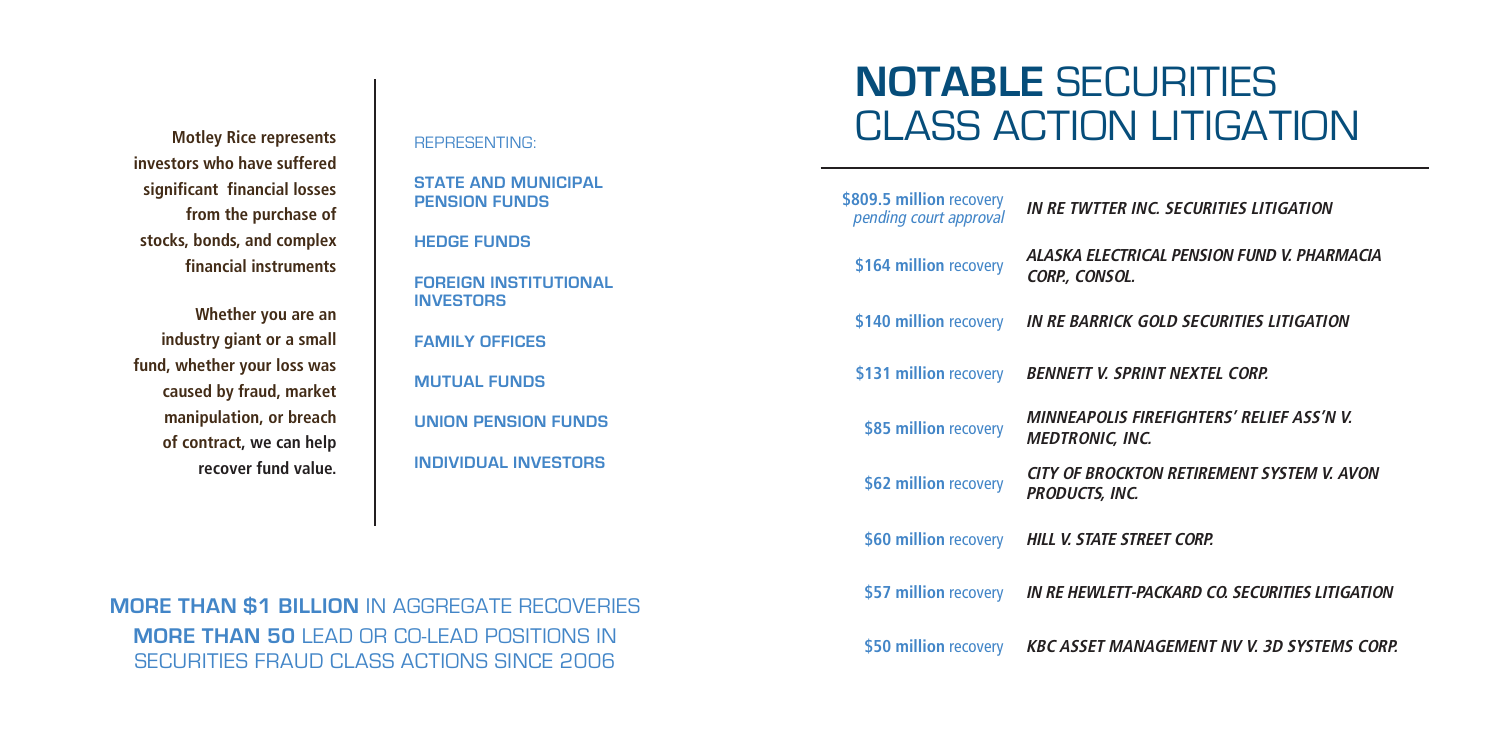**Motley Rice represents investors who have suffered significant financial losses from the purchase of stocks, bonds, and complex financial instruments**

**Whether you are an industry giant or a small fund, whether your loss was caused by fraud, market manipulation, or breach of contract, we can help recover fund value.**

REPRESENTING:

**STATE AND MUNICIPAL PENSION FUNDS**

**HEDGE FUNDS**

*ALASKA ELECTRICAL PENSION FUND V. PHARMACIA*   $ISOL.$ 

**FOREIGN INSTITUTIONAL INVESTORS**

**FAMILY OFFICES**

**MUTUAL FUNDS**

**UNION PENSION FUNDS**

**INDIVIDUAL INVESTORS**

*MINNEAPOLIS FIREFIGHTERS' RELIEF ASS'N V. IC, INC.* 

*CITY OF BROCKTON RETIREMENT SYSTEM V. AVON INC.* 

**MORE THAN \$1 BILLION** IN AGGREGATE RECOVERIES **MORE THAN 50** LEAD OR CO-LEAD POSITIONS IN SECURITIES FRAUD CLASS ACTIONS SINCE 2006

# **NOTABLE** SECURITIES CLASS ACTION LITIGATION

*pending court approval IN RE TWTTER INC. SECURITIES LITIGATION*

| \$809.5 million recovery<br>pending court approval |
|----------------------------------------------------|
| \$164 million recovery                             |
| \$140 million recovery IN RE BARR                  |
| \$131 million recovery <b>BENNETT V.</b>           |
| \$85 million recovery                              |
| \$62 million recovery                              |
| \$60 million recovery HILL V. STAT                 |
| \$57 million recovery IN RE HEWL                   |
| \$50 million recovery KBC ASSET                    |
|                                                    |

**\$140 million** recovery *IN RE BARRICK GOLD SECURITIES LITIGATION* 

 $SPRINT$  *NEXTEL CORP.* 

**\$60 million** recovery *HILL V. STATE STREET CORP.* 

**\$57 million** recovery *IN RE HEWLETT-PACKARD CO. SECURITIES LITIGATION*

**MANAGEMENT NV V. 3D SYSTEMS CORP.**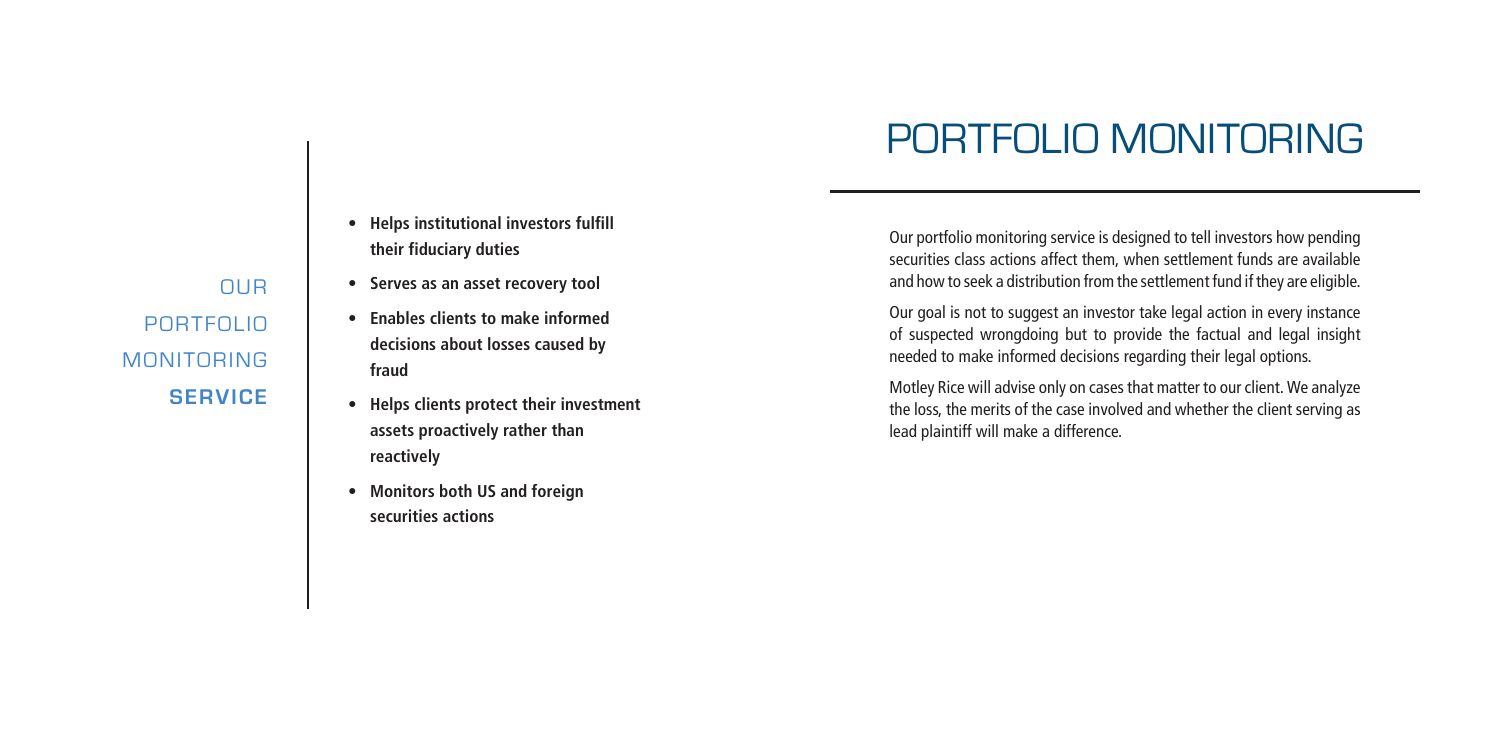- **• Helps institutional investors fulfill their fiduciary duties**
- **• Serves as an asset recovery tool**
- **• Enables clients to make informed decisions about losses caused by fraud**
- **• Helps clients protect their investment assets proactively rather than reactively**
- **• Monitors both US and foreign securities actions**

OUR PORTFOLIO MONITORING **SERVICE**

Our portfolio monitoring service is designed to tell investors how pending securities class actions affect them, when settlement funds are available and how to seek a distribution from the settlement fund if they are eligible.

Our goal is not to suggest an investor take legal action in every instance of suspected wrongdoing but to provide the factual and legal insight needed to make informed decisions regarding their legal options.

Motley Rice will advise only on cases that matter to our client. We analyze the loss, the merits of the case involved and whether the client serving as lead plaintiff will make a difference.

# PORTFOLIO MONITORING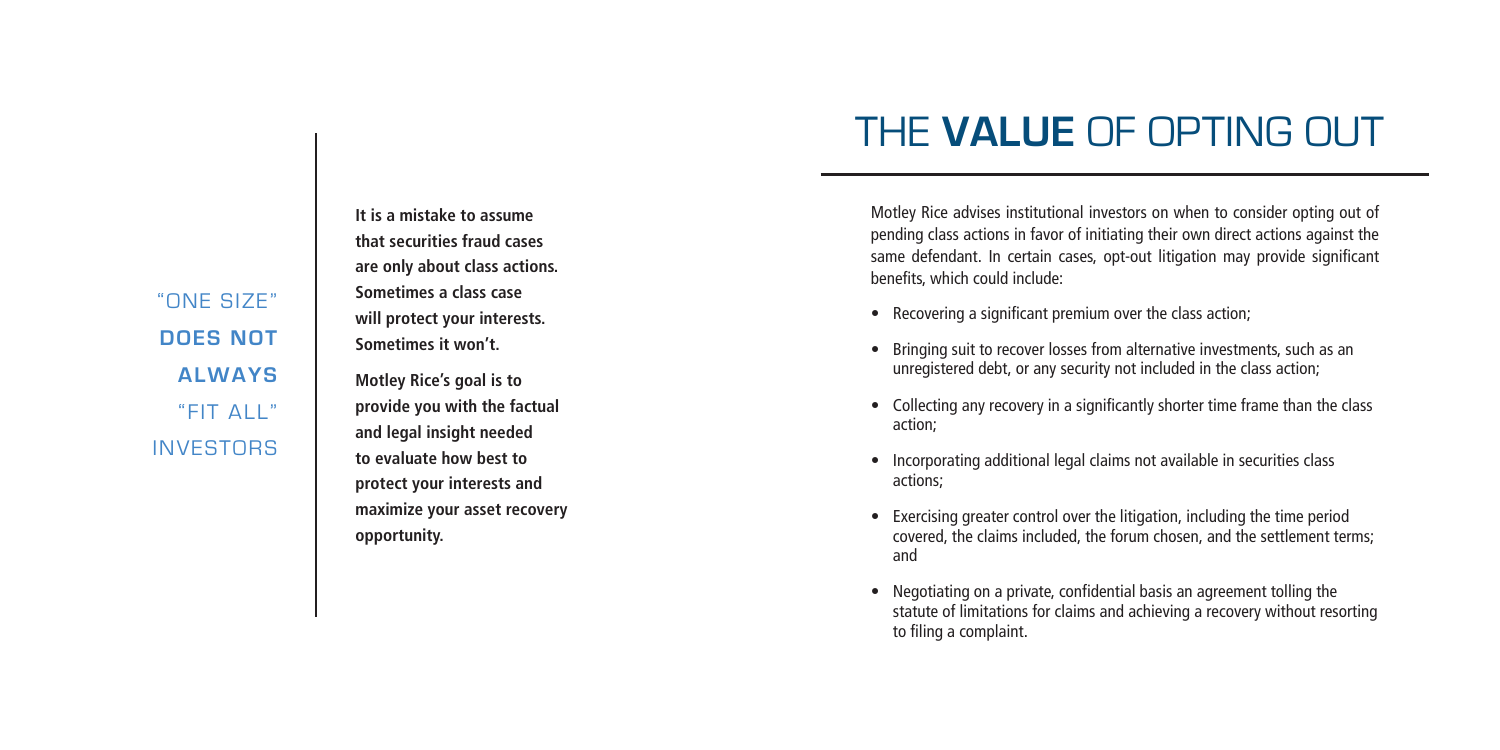"ONE SIZE" **DOES NOT ALWAYS**  "FIT ALL" **INVESTORS** 

**It is a mistake to assume that securities fraud cases are only about class actions. Sometimes a class case will protect your interests. Sometimes it won't.**

**Motley Rice's goal is to provide you with the factual and legal insight needed to evaluate how best to protect your interests and maximize your asset recovery opportunity.** 

# THE **VALUE** OF OPTING OUT

Motley Rice advises institutional investors on when to consider opting out of pending class actions in favor of initiating their own direct actions against the same defendant. In certain cases, opt-out litigation may provide significant benefits, which could include:

- 
- Recovering a significant premium over the class action;<br>• Bringing suit to recover losses from alternative investments, such as an unregistered debt, or any security not included in the class action;
- Collecting any recovery in a significantly shorter time frame than the class action;
- Incorporating additional legal claims not available in securities class actions;
- Exercising greater control over the litigation, including the time period covered, the claims included, the forum chosen, and the settlement terms; and
- Negotiating on a private, confidential basis an agreement tolling the statute of limitations for claims and achieving a recovery without resorting to filing a complaint.